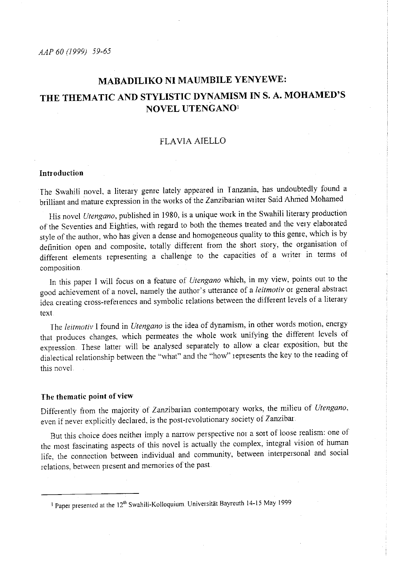*AAP 60 (1999) 59-65* 

# **MABADILIKO NI MAUMBILE YENYEWE:**  THE THEMATIC AND STYLISTIC DYNAMISM IN S. A. MOHAMED'S **NOVEL UTENGAN0 <sup>1</sup>**

## FLAVIA AIELLO

## **Introduction**

The Swahili novel, a literary genre lately appeared in <sup>I</sup>anzania, has undoubtedly found a brilliant and mature expression in the works of the Zanzibarian writer Said Ahmed Mohamed

His novel *Utengano,* published in 1980, is a unique work in the Swahili literary production of the Seventies and Eighties, with regard to both the themes treated and the very elaborated style of the author, who has given a dense and homogeneous quality to this genre, which is by definition open and composite, totally different from the short story, the organisation of different elements representing a challenge to the capacities of a writer in terms of composition

In this paper I will focus on a feature of *Utengano* which, in my view, points out to the good achievement of a novel, namely the author's utterance of a *leitmotiv* or general abstract idea creating cross-references and symbolic relations between the different levels of a literary text

The *leitmotiv* I found in *Utengano* is the idea of dynamism, in other words motion, energy that produces changes, which permeates the whole work unifying the different levels of expression. These latter will be analysed separately to allow a clear exposition, but the dialectical relationship between the "what" and the "how" represents the key to the reading of this novel.

# **The thematic point of view**

Differently from the majority of Zanzibarian contemporary works, the milieu of *Utengano*, even if never explicitly declared, is the post-revolutionary society of Zanzibar.

But this choice does neither imply a nanow perspective nor a sort of loose realism: one of the most fascinating aspects of this novel is actually the complex, integral vision of human life, the connection between individual and community, between interpersonal and social relations, between present and memories of the past

<sup>&</sup>lt;sup>1</sup> Paper presented at the 12<sup>th</sup> Swahili-Kolloquium Universität Bayreuth 14-15 May 1999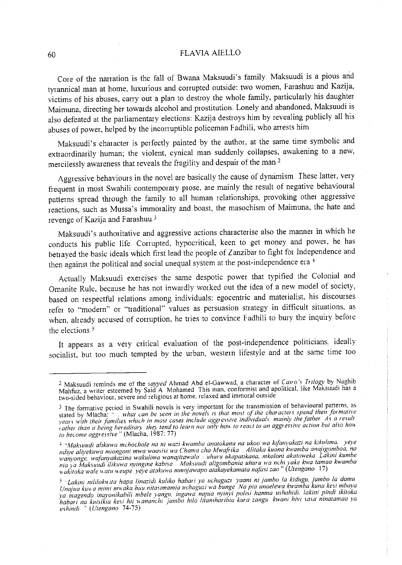### 60 FLA VIA AIELLO

Core of the narration is the fall of Bwana Maksuudi's family Maksuudi is a pious and tyrannical man at home, luxurious and conupted outside: two women, Farashuu and Kazija, victims of his abuses, carry out a plan to destroy the whole family, particularly his daughter Maimuna, directing her towards alcohol and prostitution. Lonely and abandoned, Maksuudi is also defeated at the parliamentary elections: Kazija destroys him by revealing publicly all his abuses of power, helped by the incorruptible policeman Fadhili, who arrests him

Maksuudi's character is perfectly painted by the author, at the same time symbolic and extraordinarily human; the violent, cynical man suddenly collapses, awakening to a new, mercilessly awareness that reveals the fragility and despair of the man <sup>2</sup>

Aggressive behaviours in the novel are basically the cause of dynamism These latter, very frequent in most Swahili contemporary prose, are mainly the result of negative behavioural patterns spread through the family to all human relationships, provoking other aggressive reactions, such as Mussa's immorality and boast, the masochism of Maimuna, the hate and revenge of Kazija and Farashuu.<sup>3</sup>

Maksuudi's authoritative and aggressive actions characterise also the manner in which he conducts his public life. Corrupted, hypocritical, keen to get money and power, he has betrayed the basic ideals which first lead the people of Zanzibar to fight for Independence and then against the political and social unequal system at the post-independence era<sup>4</sup>

Actually Maksuudi exercises the same despotic power that typified the Colonial and Omanite Rule, because he has not inwardly worked out the idea of a new model of society, based on respectful relations among individuals: egocentric and materialist, his discourses refer to "modern" or "traditional" values as persuasion strategy in difficult situations, as when, already accused of corruption, he tries to convince Fadhili to bury the inquiry before the elections.<sup>5</sup>

It appears as a very critical evaluation of the post-independence politicians, ideally socialist, but too much tempted by the urban, western lifestyle and at the same time too

<sup>2</sup> Maksuudi reminds me of the *sayyed* Ahmad Abd ei-Gawwad, a character of *Cairo·, Trilogy* by Naghib Mahfuz, a writer esteemed by Said A. Mohamed This man. conformist and apolitical, like Maksuudi has a **two-sided behaviour, severe and religious at home, relaxed and immoral outside** 

<sup>3</sup>**The formative period in Swahili novels is very important for the transmission of behavioural patterns, as**   $s$  stated by Mlacha:  $\cdot \cdot$  . *what can be seen in the novels is that most of the characters spend their formative* years with their families which in most cases include aggressive individuals, mainly the father. As a result. *tather than it being hereditary* they tend to learn not only how to react to an aggressive action but also how *to become aggressive*" (Mlacha, 1987: 77)

<sup>+</sup>*·'Maksuudi a/ikuwa rnchochole na ni wazi kwamba ana!Okana na ukoo wa kifanyakazi na kikulima. yeye ndiye aliyekznva miongoni mwa waasisi lva Charna eh a Mwafi ika* **.** *Alitaka kuona kwamba anajigomboa, na wanyonge, wafanyakazina wakulima wanajilawala* **:** *uhuru ukapatikana, mkoloni akatoweka Lakini kurnbe nia ya Maksuudi i/ikuwa nyingine kabisa Makmudi aligornbania uhuru wa nchi yake kwa tarnaa kwamba Yl-akitoka wale Ha tu Heupe* ye~ve *atakuwa rnmojmvapo atakayekamata nafasi zao"* **(** *Utengano* **17)** 

**<sup>5</sup>***"Lakini nililo/mila hapa linazidi ku/iko habati ya uchaguzi yaani ni jambo la kidugu, jambo la damu Unajua* **kllll** *a minu nm aka huu nitasirnamia uchagzci wa bzmge Na pia unaelewa hvamba kuna kesi m bay <sup>a</sup> ya magendo inayonikabili mbele yangu, ingawa najua nyinyi polisi hamna ushahidi, lakini pindi ikitoka habari na kuisikia kesi hii Hananchi jarnbo hila litaniharibia kura zangu hvani hivi sasa ninatamaa ya ushind1* ' ( *Utengano* 74-75)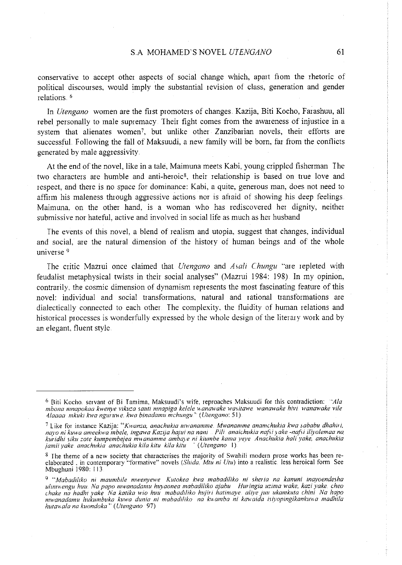conservative to accept other aspects of social change which, apart fiom the rhetoric of political discourses, would imply the substantial revision of class, generation and gender relations. <sup>6</sup>

In *Utengano* women are the first promoters of changes. Kazija, Biti Kocho, Farashuu, all rebel personally to male supremacy Their fight comes from the awareness of injustice in a system that alienates women<sup>7</sup>, but unlike other Zanzibarian novels, their efforts are successfuL Following the fall of Maksuudi, a new family will be born, far from the conflicts generated by male aggressivity

At the end of the novel, like in a tale, Maim una meets Kabi, young crippled fisherman The two characters are humble and anti-heroic8, their relationship is based on true love and respect, and there is no space for dominance: Kabi, a quite, generous man, does not need to affirm his maleness through aggressive actions nor is afiaid of showing his deep feelings Maimuna, on the other hand, is a woman who has rediscovered her dignity, neither submissive nor hateful, active and involved in social life as much as her husband

The events of this novel, a blend of realism and utopia, suggest that changes, individual and social, are the natural dimension of the history of human beings and of the whole universe 9

The critic Mazrui once claimed that *Utengano* and *Asali Chungu* ''are repleted with feudalist metaphysical twists in their social analyses" (Mazrui 1984: 198) In my opinion, contrarily., the cosmic dimension of dynamism represents the most fascinating feature of this novel: individual and social transformations, natural and rational transformations are dialectically connected to each other The complexity, the fluidity of human relations and historical processes is wonderfully expressed by the whole design of the literary work and by an elegant. fluent style

<sup>6</sup>Biti Kocho. servant of Bi Tamima, Maksuudi's wife, reproaches Maksuudi for this contradiction: *'Ala m bona mnapokaa kwen.ve viku:a saut1 mnapiga kelele ltanawake was it awe wanawake hivi wanmvake vile 4./aaaa mkuki !m• a ngururte. kw a binadamu mchungu* ,. ( *Utengano:* **51)** 

**<sup>7</sup>Like for instance Kazija:** *''"Kwan:a, anachukw nrwanamme Mwanamme anamchukia kwa ,sababu dhahiri, nayo ni kuwa amee!nlla mbele, ingawa Ka:ija hajui na nani Pili anaichukia nafii )Gke -nafsi* il~yolemaa *na. kuridhi siku :ate kumpernbejea mwanamme arnbG)e ni kiumbe kama* y~ye *Anachukia hali yake, anachukia jamii yake anachukia anachukia kif a kitu kif a kitu* ' ( *Utengano* **I)** 

<sup>8</sup> The theme of a new society that characterises the majority of Swahili modern prose works has been reelaborated , in contemporary "formative" novels *(Shida. Mtu ni Utu)* into a realistic. less heroical form See Mbughuni 1980: 113

**<sup>9</sup>***.. Mabadi/iko ni maumbile nrwenyewe Kutokea kwa mabadiliko ni shetia na kammi inayoendesha ulinntengu huu. Na papa mwanadamu huyaonea mabadiliko ajabu Huringia uzima wake, kazi yake. cheo chake na hadhi yake Na katika wio huu mabadiNko hujiri hatimaye. a/iye juu ukamkuta chini Na hapo mwanadamu hukumbuka kuwa dunia ni mabadiliko na kwamba ni kawaida isiyopingikankuwa madhila hutmtala na kuondoka* '' ( *Utengano* 97)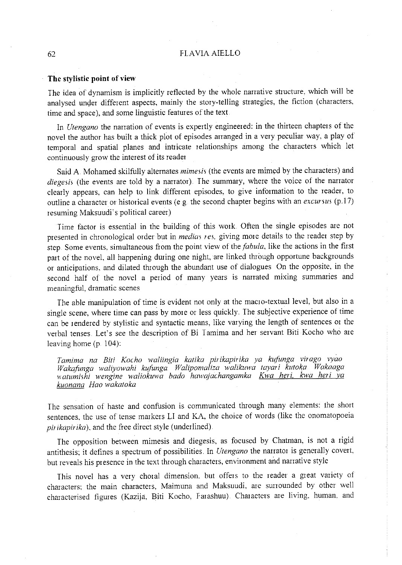#### 62 **FLAVIA AIELLO**

#### **The stylistic point of view**

The idea of dynamism is implicitly reflected by the whole narrative stmcture, which will be analysed under different aspects, mainly the story-telling strategies, the fiction (characters, time and space), and some linguistic features of the text

In *Utengano* the narration of events is expertly engineered: in the thirteen chapters of the novel the author has built a thick plot of episodes arranged in a very peculiar way, a play of temporal and spatial planes and intricate relationships among the characters which let continuously grow the interest of its reader

Said A Mohamed skilfully alternates *mimesis* (the events are mimed by the characters) and diegesis (the events are told by a narrator). The summary, where the voice of the narrator clearly appears, can help to link different episodes, to give information to the reader, to outline a character or historical events (e g the second chapter begins with an *excursus* (p17) resuming Maksuudi' s political career)

Time factor is essential in the building of this work. Often the single episodes are not presented in chronological order but in *medias res,* giving more details to the reader step by step Some events, simultaneous from the point view of the *fabula,* like the actions in the first part of the novel, all happening during one night, are linked through opportune backgrounds or anticipations, and dilated through the abundant use of dialogues On the opposite, in the second half of the novel a period of many years is narrated mixing summaries and **meaningful, dramatic scenes** 

The able manipulation of time is evident not only at the macro-textual level, but also in a single scene, where time can pass by more or less quickly. The subjective experience of time can be rendered by stylistic and syntactic means, like varying the length of sentences or the verbal tenses. Let's see the description of Bi I amima and her servant Biti Kocho who are leaving home (p. 104):

*Tamima na Biti Kocho waliingia katika pirikapirika ya kufunga virago vyao Wakafunga waliyowahi kufunga Walipoma/iza walikuwa tayari kutoka Wakaaga*  watumishi wengine waliokuwa bado hawajachangamka Kwa heri, kwa heri ya *kuonana Hao wakatoka* 

The sensation of haste and confusion is communicated through many elements: the short sentences, the use of tense markers LI and KA, the choice of words (like the onomatopoeia *<sup>p</sup>irikapirika),* and the free direct style (underlined).

The opposition between mimesis and diegesis, as focused by Chatman, is not a rigid antithesis; it defines a spectrum of possibilities. In *Utengano* the narrator is generally covert, but reveals his presence in the text through characters, environment and narrative style

This novel has a very choral dimension, but offers to the reader a great variety of characters: the main characters, Maimuna and Maksuudi, are surrounded by other well characterised figures (Kazija, Biti Kocho, Farashuu). Characters are living, human, and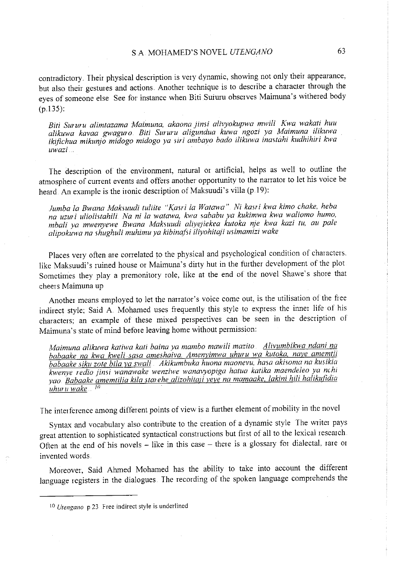# SA MOHAMED'S NOVEL *UIENGANO* 63

contradictory. Their physical description is very dynamic, showing not only their appearance, but also their gestures and actions. Another technique is to describe a character through the eyes of someone else See for instance when Biti Suiuru observes Maimuna's withered body (p.l35):

*Biti Sururu alimtazama Maimuna, akaona Jinsi alivyokupwa mwili Kwa wakati huu alikuwa kavaa gwaguro. Biti Sururu aligundua kuwa ngozi ya Maimuna ilikuwa ikifichua mikunjo midogo midogo ya siri ambayo bado ilikuwa inastahi kudhihiri kwa uwazi* 

The description of the environment, natural or artificial, helps as well to outline the atmosphere of current events and offers another opportunity to the narrator to let his voice be heard. An example is the ironic description of Maksuudi's villa (p.19):

*Jumba la Bwana Maksuudi tuliite "Kasri la Watawa" Ni kasri kwa kimo chake, heba na uzuri uliolistahili. Na ni la watawa, kwa sababu ya kukimwa kwa waliomo humo, mbali ya mwenyewe Bwana Maksuudi aliye;iekea kutoka nje kwa kazi tu, au pale alipokuwa na shughuli muhimu ya kibinafsi iliyohitaji usimamizi wake* 

Places very often are correlated to the physical and psychological condition of characters. like Maksuudi's ruined house or Maimuna's dirty hut in the further development of the plot. Sometimes they play a premonitory role, like at the end of the novel Shawe's shore that cheers Maimuna up

Another means employed to let the narrator's voice come out, is the utilisation of the fiee indirect style; Said A. Mohamed uses frequently this style to express the inner life of his characters; an example of these mixed perspectives can be seen in the description of Maimuna's state of mind before leaving home without permission:

*Maimuna alikuwa katiwa kati baina ya mambo mawili mazito <u>Alivumbikwa ndani na</u> babaake na kwa kweli sasa ameshaiva. Amenyimwa uhuru wa kutoka, naye amemtii babaake siku zote bila ya swali* . *Akikumbuka huona maonevu, hasa akisoma na kusikia k:>l•enye redia jinsi wanawake wenziwe wanavyopiga hatua katika maendeleo ya nch1 yao Babaake amemtilia kila starehe alizohita!i lfve na mamaake, lakini hili halikufidia uhur u wake* . *<sup>10</sup>*

The interference among different points of view is a further element of mobility in the novel

Syntax and vocabulary also contribute to the creation of a dynamic style The writer pays great attention to sophisticated syntactical constructions but first of all to the lexical research Often at the end of his novels  $-$  like in this case  $-$  there is a glossary for dialectal, rare or invented words.

Moreover, Said Ahmed Mohamed has the ability to take into account the different language registers in the dialogues. The recording of the spoken language comprehends the

<sup>10</sup> *Utengano* p 23 Free indirect style is underlined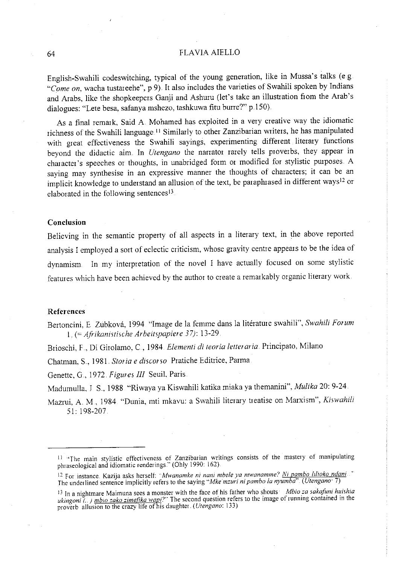#### 64 FLAVIA AIELLO

English-Swahili codeswitching, typical of the young generation, like in Mussa's talks (e.g "Come on, wacha tustareehe", p.9). It also includes the varieties of Swahili spoken by Indians and Arabs, like the shopkeepers Ganji and Ashuru (let's take an illustration from the Arab's dialogues: "Lete besa, safanya mshezo, tashkuwa fitu burre?" p 150).

As a final remark, Said A Mohamed has exploited in a very creative way the idiomatic richness of the Swahili language.<sup>11</sup> Similarly to other Zanzibarian writers, he has manipulated with great effectiveness the Swahili sayings, experimenting different literary functions beyond the didactic aim. In *Utengano* the narrator rarely tells proverbs, they appear in character's speeches or thoughts, in unabridged form or modified for stylistic purposes. A saying may synthesise in an expressive manner the thoughts of characters; it can be an implicit knowledge to understand an allusion of the text, be paraphrased in different ways<sup>12</sup> or elaborated in the following sentences<sup>13</sup>.

#### **Conclusion**

Believing in the semantic property of all aspects in a literary text, in the above reported analysis I employed a sort of eclectic criticism, whose gravity centre appears to be the idea of dynamism In my interpretation of the novel I have actually focused on some stylistic features which have been achieved by the author to create a remarkably organic literary work.

#### **References**

Bertoncini, E Zúbková, 1994 "Image de la femme dans la litérature swahili", *Swahili Forum* <sup>1</sup>.. (= *Afrikanistische Arbeitspapiere 37):* 13-29.

Brioschi, F.., Di Girolamo, C, 1984. *E/ementi di teoria letteraria.* Principato, Milano

Chatman, S, 1981. *Storia e discorso* Pratiche Editrice, Parma

Genette, G, 1972 *Figures* Ill Seuil, Paris.

Madumulla, J S, 1988 "Riwaya ya Kiswahili katika miaka ya themanini", *Mulika* 20: 9-24.

Mazrui, A. M., 1984 "Dunia, mti mkavu: a Swahili literary treatise on Marxism", *Kiswahili*  51: 198-207

**ll "'The main stylistic effectiveness of Zanzibarian wntmgs consists of the mastery of manipulating**  <sup>p</sup>hraseological and idiomatic renderings" (Ohly 1990: 162)

<sup>12</sup>**For instance. Kazija asks herself:** *···Mwanamke ni nani mbele ya mwanamme? Ni parnbo /ilioko ndani* ,. The underlined sentence implicitly refers to the saying *"Mke mzun ni pambo la nyumba" (Utengano·* 7)

<sup>&</sup>lt;sup>13</sup> In a nightmare Maimuna sees a monster with the face of his father who shouts *Mbio za sakafuni huishia* **ukingoni** (..) **mb10 zako zimefika wap;?'' The second question refers to the image of running contained in the**  proverb allusion to the crazy life of his daughter *(Utengano:* 133)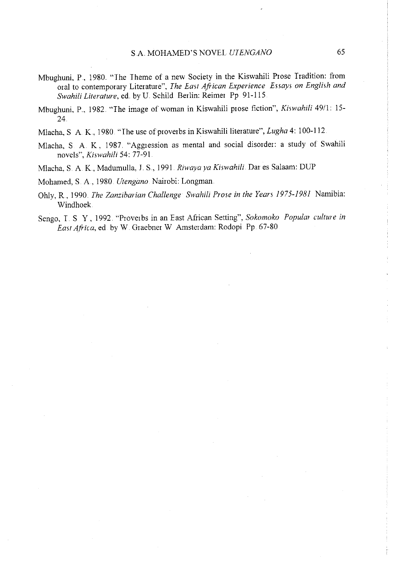- Mbughuni, P, 1980 "The Theme of a new Society in the Kiswahili Prose Tradition: from oral to contemporary Literature", *The East African Experience Essays on English and Swahili Literature, ed. by U. Schild Berlin: Reimer Pp 91-115.*
- Mbughuni, P., 1982. "The image of woman in Kiswahili prose fiction", *Kiswahili* 49/1: 15-24
- Mlacha, S A K, 1980 "The use of proverbs in Kiswahili literature", *Lugha* 4: 100-112.
- Mlacha, S A K, 1987. "Aggression as mental and social disorder: a study of Swahili novels", *Kiswahili* 54: 77-91
- Mlacha, S. A K., Madumulla, J. S , 1991 . *Riwaya ya Kiswahili.* Dar es Salaam: DUP

Mohamed, S A, 1980. *Utengano.* Nairobi: Longman

- Ohly, R, 1990. *The Zanzibarian Challenge Swahili Prose in the Years 1975-1981* Namibia: Windhoek.
- Sengo, I. S Y, 1992 "Proverbs in an East African Setting", *Sokomoko Popular culture in East Africa,* ed by W Graebner W Amsterdam: Rodopi Pp. 67-80